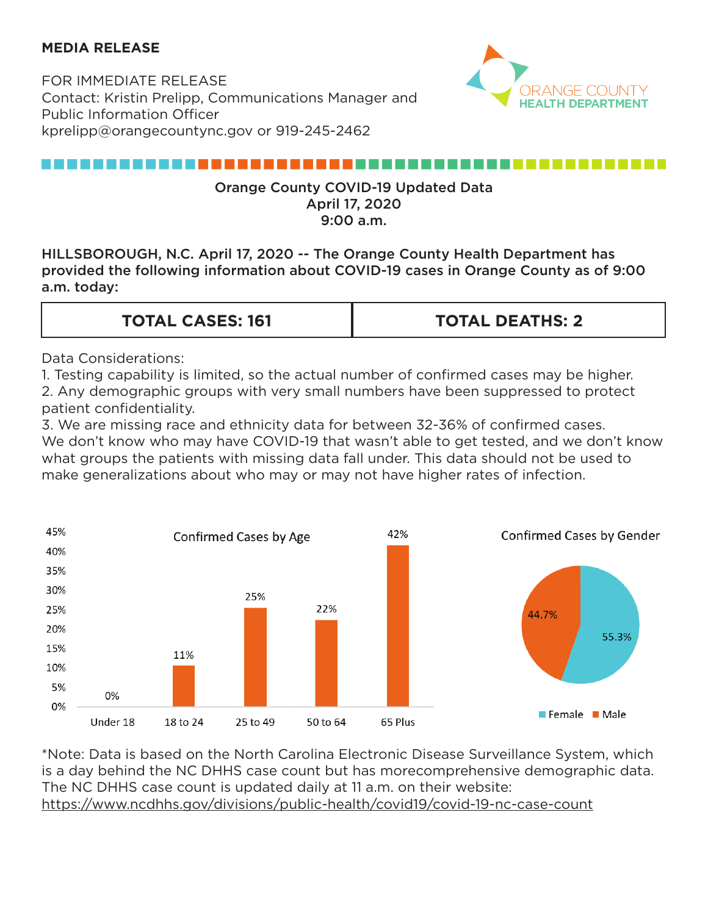## **MEDIA RELEASE**

FOR IMMEDIATE RELEASE Contact: Kristin Prelipp, Communications Manager and Public Information Officer kprelipp@orangecountync.gov or 919-245-2462



## ,,,,,,,,,,,,,,,,,,,,,,,,,

## Orange County COVID-19 Updated Data April 17, 2020 9:00 a.m.

HILLSBOROUGH, N.C. April 17, 2020 -- The Orange County Health Department has mence of the congrimer spin ingleses in the county of the countries are primitive that the provided the following information about COVID-19 cases in Orange County as of 9:00 a.m. today: <u>Covid-19 Cases In Orange County in Orange County in Orange County in Orange County</u>

| <b>TOTAL CASES: 161</b> | <b>TOTAL DEATHS: 2</b> |
|-------------------------|------------------------|
|                         |                        |

Data Considerations:

1. Testing capability is limited, so the actual number of confirmed cases may be higher.<br>2. Any demographic groups with very small numbers have been suppressed to protect 2. Any demographic groups with very small numbers have been suppressed to protect patient confidentiality. 1. Testing capability is limited, so the actual number of confirmed cases may be higher.

3. We are missing race and ethnicity data for between 32-36% of confirmed cases. We don't know who may have COVID-19 that wasn't able to get tested, and we don't know we don't know who may have COVID 15 that wash't able to get tested, and we don't kill what groups the patients with missing data fall under. This data should not be used to what groups the patients with missing data fail ander. This data should not be used to make generalizations about who may or may not have higher rates of infection. 2. Any die missing race and ethnicity data for between 32-30% of committed cases.<br>The protect patient confidential confidentiality. It is protected to protect patient confidential in the prote *with missing data fall under.* **This data should not be used to make generalizations about who may or may not have** 



is a day behind the NC DHHS case sount but has more comprehensive demographic data is a day behind the NC DHHS case count but has morecomprehensive demographic data. \*Note: Data is based on the North Carolina Electronic Disease Surveillance System, which The NC DHHS case count is updated daily at 11 a.m. on their website: <https://www.ncdhhs.gov/divisions/public-health/covid19/covid-19-nc-case-count>